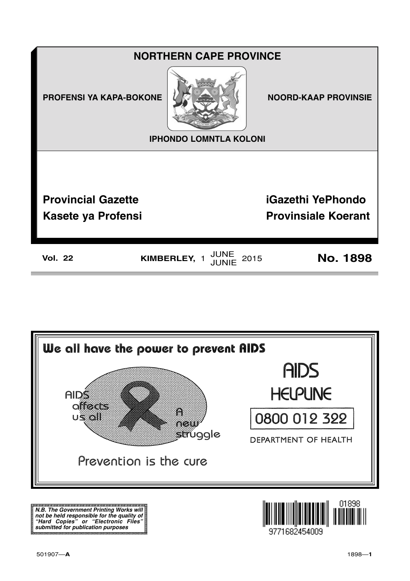



**N.B. The Government Printing Works will not be held responsible for the quality of "Hard Copies" or "Electronic Files" submitted for publication purposes**

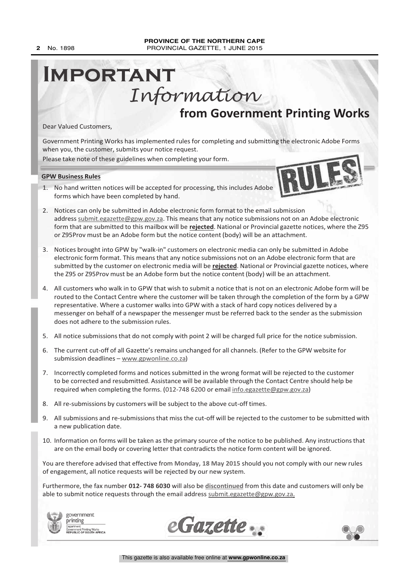# **from Government Printing Works IMPORTANT** Information

Dear Valued Customers,

Government Printing Works has implemented rules for completing and submitting the electronic Adobe Forms when you, the customer, submits your notice request.

Please take note of these guidelines when completing your form.

**GPW Business Rules**

1. No hand written notices will be accepted for processing, this includes Adobe forms which have been completed by hand.



3. Notices brought into GPW by "walk-in" customers on electronic media can only be submitted in Adobe electronic form format. This means that any notice submissions not on an Adobe electronic form that are submitted by the customer on electronic media will be **rejected**. National or Provincial gazette notices, where the Z95 or Z95Prov must be an Adobe form but the notice content (body) will be an attachment.

or Z95Prov must be an Adobe form but the notice content (body) will be an attachment.

- 4. All customers who walk in to GPW that wish to submit a notice that is not on an electronic Adobe form will be routed to the Contact Centre where the customer will be taken through the completion of the form by a GPW representative. Where a customer walks into GPW with a stack of hard copy notices delivered by a messenger on behalf of a newspaper the messenger must be referred back to the sender as the submission does not adhere to the submission rules.
- 5. All notice submissions that do not comply with point 2 will be charged full price for the notice submission.
- 6. The current cut-off of all Gazette's remains unchanged for all channels. (Refer to the GPW website for submission deadlines – www.gpwonline.co.za)
- 7. Incorrectly completed forms and notices submitted in the wrong format will be rejected to the customer to be corrected and resubmitted. Assistance will be available through the Contact Centre should help be required when completing the forms. (012-748 6200 or email info.egazette@gpw.gov.za)
- 8. All re-submissions by customers will be subject to the above cut-off times.
- 9. All submissions and re-submissions that miss the cut-off will be rejected to the customer to be submitted with a new publication date.
- 10. Information on forms will be taken as the primary source of the notice to be published. Any instructions that are on the email body or covering letter that contradicts the notice form content will be ignored.

You are therefore advised that effective from **Monday, 18 May 2015** should you not comply with our new rules of engagement, all notice requests will be rejected by our new system.

Furthermore, the fax number **012- 748 6030** will also be **discontinued** from this date and customers will only be able to submit notice requests through the email address submit.egazette@gpw.gov.za.







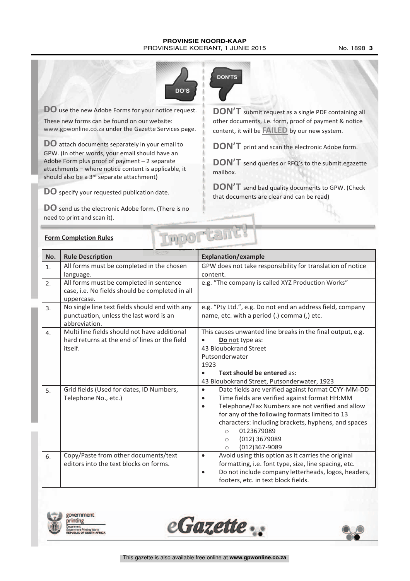#### **PROVINSIE NOORD-KAAP** PROVINSIALE KOERANT, 1 JUNIE 2015 No. 1898 3



**DO** use the new Adobe Forms for your notice request. These new forms can be found on our website: www.gpwonline.co.za under the Gazette Services page.

**DO** attach documents separately in your email to GPW. (In other words, your email should have an Adobe Form plus proof of payment – 2 separate attachments – where notice content is applicable, it should also be a 3<sup>rd</sup> separate attachment)

**DO** specify your requested publication date.

**DO** send us the electronic Adobe form. (There is no need to print and scan it).



**DON'T** submit request as <sup>a</sup> single PDF containing all other documents, i.e. form, proof of payment & notice content, it will be **FAILED** by our new system.

**DON'T** print and scan the electronic Adobe form.

**DON'T** send queries or RFQ's to the submit.egazette mailbox.

**DON'T** send bad quality documents to GPW. (Check that documents are clear and can be read)

|  | <b>Form Completion Rules</b> |  |
|--|------------------------------|--|
|  |                              |  |

|                | <b>Form Completion Rules</b>                                                                               | $\Gamma$                                                                                                                                                                                                                                                                                                                                                                                 |
|----------------|------------------------------------------------------------------------------------------------------------|------------------------------------------------------------------------------------------------------------------------------------------------------------------------------------------------------------------------------------------------------------------------------------------------------------------------------------------------------------------------------------------|
| No.            | <b>Rule Description</b>                                                                                    | <b>Explanation/example</b>                                                                                                                                                                                                                                                                                                                                                               |
| $\mathbf 1$ .  | All forms must be completed in the chosen<br>language.                                                     | GPW does not take responsibility for translation of notice<br>content.                                                                                                                                                                                                                                                                                                                   |
| 2.             | All forms must be completed in sentence<br>case, i.e. No fields should be completed in all<br>uppercase.   | e.g. "The company is called XYZ Production Works"                                                                                                                                                                                                                                                                                                                                        |
| 3 <sub>1</sub> | No single line text fields should end with any<br>punctuation, unless the last word is an<br>abbreviation. | e.g. "Pty Ltd.", e.g. Do not end an address field, company<br>name, etc. with a period (.) comma (,) etc.                                                                                                                                                                                                                                                                                |
| 4.             | Multi line fields should not have additional<br>hard returns at the end of lines or the field<br>itself.   | This causes unwanted line breaks in the final output, e.g.<br>Do not type as:<br>43 Bloubokrand Street<br>Putsonderwater<br>1923<br>Text should be entered as:<br>43 Bloubokrand Street, Putsonderwater, 1923                                                                                                                                                                            |
| 5.             | Grid fields (Used for dates, ID Numbers,<br>Telephone No., etc.)                                           | Date fields are verified against format CCYY-MM-DD<br>$\bullet$<br>Time fields are verified against format HH:MM<br>$\bullet$<br>Telephone/Fax Numbers are not verified and allow<br>$\bullet$<br>for any of the following formats limited to 13<br>characters: including brackets, hyphens, and spaces<br>0123679089<br>$\circ$<br>(012) 3679089<br>$\circ$<br>(012)367-9089<br>$\circ$ |
| 6.             | Copy/Paste from other documents/text<br>editors into the text blocks on forms.                             | Avoid using this option as it carries the original<br>$\bullet$<br>formatting, i.e. font type, size, line spacing, etc.<br>Do not include company letterheads, logos, headers,<br>$\bullet$<br>footers, etc. in text block fields.                                                                                                                                                       |





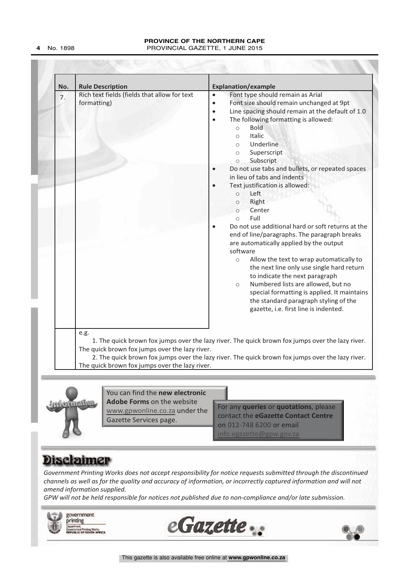#### **PROVINCE OF THE NORTHERN CAPE 4** No. 1898 PROVINCIAL GAZETTE, 1 JUNE 2015

| No. | <b>Rule Description</b>                                     | <b>Explanation/example</b>                                                                                                                                                                                                                                                                                                                                                                                                                                                                                                                                                                                                                                                                                                                                                                                                                                                                                                                                                                                                        |
|-----|-------------------------------------------------------------|-----------------------------------------------------------------------------------------------------------------------------------------------------------------------------------------------------------------------------------------------------------------------------------------------------------------------------------------------------------------------------------------------------------------------------------------------------------------------------------------------------------------------------------------------------------------------------------------------------------------------------------------------------------------------------------------------------------------------------------------------------------------------------------------------------------------------------------------------------------------------------------------------------------------------------------------------------------------------------------------------------------------------------------|
| 7.  | Rich text fields (fields that allow for text<br>formatting) | Font type should remain as Arial<br>$\bullet$<br>Font size should remain unchanged at 9pt<br>$\bullet$<br>Line spacing should remain at the default of 1.0<br>$\bullet$<br>The following formatting is allowed:<br><b>Bold</b><br>$\circ$<br>Italic<br>$\bigcirc$<br>Underline<br>$\circ$<br>Superscript<br>$\circ$<br>Subscript<br>$\circ$<br>Do not use tabs and bullets, or repeated spaces<br>in lieu of tabs and indents<br>Text justification is allowed:<br>Left<br>$\circ$<br>Right<br>$\circ$<br>Center<br>$\circ$<br>Full<br>$\circ$<br>Do not use additional hard or soft returns at the<br>end of line/paragraphs. The paragraph breaks<br>are automatically applied by the output<br>software<br>Allow the text to wrap automatically to<br>$\circ$<br>the next line only use single hard return<br>to indicate the next paragraph<br>Numbered lists are allowed, but no<br>$\circ$<br>special formatting is applied. It maintains<br>the standard paragraph styling of the<br>gazette, i.e. first line is indented. |
|     | e.g.<br>The quick brown fox jumps over the lazy river.      | 1. The quick brown fox jumps over the lazy river. The quick brown fox jumps over the lazy river.<br>2. The quick brown fox jumps over the lazy river. The quick brown fox jumps over the lazy river.                                                                                                                                                                                                                                                                                                                                                                                                                                                                                                                                                                                                                                                                                                                                                                                                                              |



You can find the **new electronic Adobe Forms** on the website www.gpwonline.co.za under the Gazette Services page.

**Experimedion**<br>
You can find the new electronic<br>
Adobe Forms on the website<br>
<u>www.gowonline.co.za</u> under the<br>
Gazette Services page.<br>
Contact the eGazette Contact Centre<br>
on 012-748 6200 or email<br>
Info.egazette@gow.gov.za For any **queries** or **quotations**, please contact the **eGazette Contact Centre** on 012-748 6200 or email  $info.egazette@gpw.gov.$ 

*Government Printing Works does not accept responsibility for notice requests submitted through the discontinued channels as well as for the quality and accuracy of information, or incorrectly captured information and will not amend information supplied.*

*GPW will not be held responsible for notices not published due to non-compliance and/or late submission.*





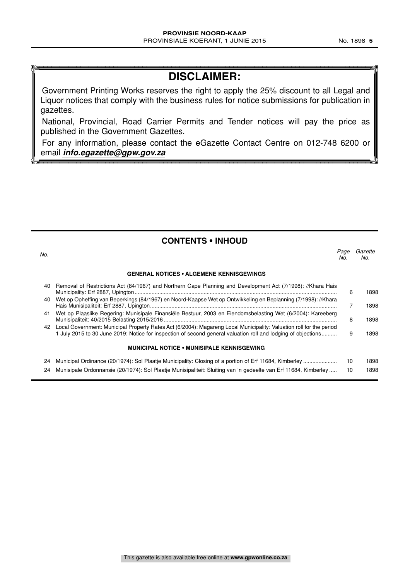## **DISCLAIMER:**

Government Printing Works reserves the right to apply the 25% discount to all Legal and Liquor notices that comply with the business rules for notice submissions for publication in gazettes.

National, Provincial, Road Carrier Permits and Tender notices will pay the price as published in the Government Gazettes.

For any information, please contact the eGazette Contact Centre on 012-748 6200 or email **info.egazette@gpw.gov.za**

#### **CONTENTS • INHOUD**

| No. |                                                                                                                                                                                                                                         | Page<br>No. | Gazette<br>No. |
|-----|-----------------------------------------------------------------------------------------------------------------------------------------------------------------------------------------------------------------------------------------|-------------|----------------|
|     | <b>GENERAL NOTICES • ALGEMENE KENNISGEWINGS</b>                                                                                                                                                                                         |             |                |
| 40  | Removal of Restrictions Act (84/1967) and Northern Cape Planning and Development Act (7/1998): //Khara Hais                                                                                                                             | 6           | 1898           |
| 40  | Wet op Opheffing van Beperkings (84/1967) en Noord-Kaapse Wet op Ontwikkeling en Beplanning (7/1998): //Khara                                                                                                                           |             | 1898           |
| 41  | Wet op Plaaslike Regering: Munisipale Finansiële Bestuur, 2003 en Eiendomsbelasting Wet (6/2004): Kareeberg                                                                                                                             | 8           | 1898           |
|     | 42 Local Government: Municipal Property Rates Act (6/2004): Magareng Local Municipality: Valuation roll for the period<br>1 July 2015 to 30 June 2019: Notice for inspection of second general valuation roll and lodging of objections | 9           | 1898           |
|     | <b>MUNICIPAL NOTICE • MUNISIPALE KENNISGEWING</b>                                                                                                                                                                                       |             |                |
| 24  |                                                                                                                                                                                                                                         | 10          | 1898           |
| 24  | Munisipale Ordonnansie (20/1974): Sol Plaatje Munisipaliteit: Sluiting van 'n gedeelte van Erf 11684, Kimberley                                                                                                                         | 10          | 1898           |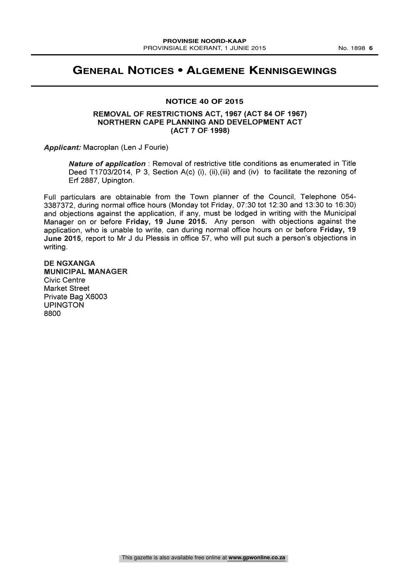#### **GENERAL NOTICES • ALGEMENE KENNISGEWINGS**

#### **NOTICE 40 OF 2015**

#### REMOVAL OF RESTRICTIONS ACT, 1967 (ACT 84 OF 1967) NORTHERN CAPE PLANNING AND DEVELOPMENT ACT (ACT 7 OF-1998)

Applicant: Macroplan (Len J Fourie)

Nature of application : Removal of restrictive title conditions as enumerated in Title Deed T1703/2014, P 3, Section A(c) (i), (ii), (iii) and (iv) to facilitate the rezoning of Erf 2887, Upington.

Full particulars are obtainable from the Town planner of the Council, Telephone 054- 3387372, during normal office hours (Monday tot Friday, 07:30 tot 12:30 and 13:30 to 16:30) and objections against the application, if any, must be lodged in writing with the Municipal Manager on or before Friday, 19 June 2015. Any person with objections against the application, who is unable to write, can during normal office hours on or before Friday, 19 June 2015, report to Mr J du Plessis in office 57, who will put such a person's objections in writing.

DE NGXANGA MUNICIPAL MANAGER Civic Centre Market Street Private Bag X6003 UPINGTON 8800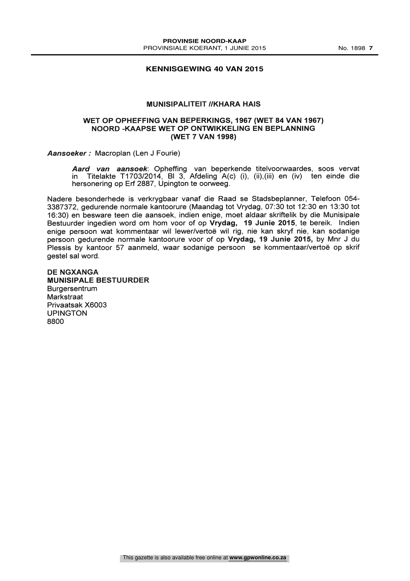#### **KENNISGEWING 40 VAN 2015**

#### MUNISIPALITEIT //KHARA HAIS

#### WET OP OPHEFFING VAN BEPERKINGS, 1967 (WET 84 VAN 1967) NOORD -KAAPSE WET OP ONTWIKKELING EN BEPLANNING (WET 7 VAN 1998)

Aansoeker : Macroplan (Len J Fourie)

Aard van aansoek: Opheffing van beperkende titelvoorwaardes, soos vervat in Titelakte T1703/2014, BI 3, Afdeling A(c) (i), (ii),(iii) en (iv) ten einde die hersonering op Erf 2887, Upington te oorweeg.

Nadere besonderhede is verkrygbaar vanaf die Raad se Stadsbeplanner, Telefoon 054- 3387372, gedurende normale kantoorure (Maandag tot Vrydag, 07:30 tot 12:30 en 13:30 tot 16:30) en besware teen die aansoek, indien enige, moet aldaar skriftelik by die Munisipale Bestuurder ingedien word om hom voor of op Vrydag, 19 Junie 2015, te bereik. Indien enige persoon wat kommentaar wil lewer/vertoe wil rig, nie kan skryf nie, kan sodanige persoon gedurende normale kantoorure voor of op Vrydag, 19 Junie 2015, by Mnr J du Plessis by kantoor 57 aanmeld, waar sodanige persoon se kommentaar/vertoe op skrif gestel sal word.

DE NGXANGA MUNISIPALE BESTUURDER **Burgersentrum Markstraat** Privaatsak X6003 UPINGTON 8800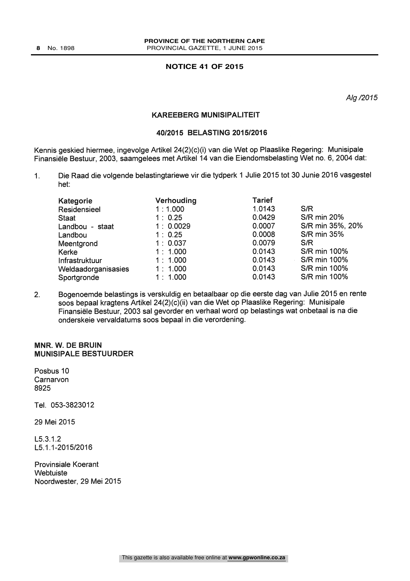#### **NOTICE 41 OF 2015**

Alg /2015

#### KAREEBERG MUNISIPALITEIT

#### 40/2015 BELASTING 2015/2016

Kennis geskied hiermee, ingevolge Artikel 24(2)(c)(i) van die Wet op Plaaslike Regering: Munisipale Finansiele Bestuur, 2003, saamgelees met Artikel 14 van die Eiendomsbelasting Wet no. 6, 2004 dat:

1. Die Raad die volgende belastingtariewe vir die tydperk 1 Julie 2015 tot 30 Junie 2016 vasgestel het:

| Kategorie           | Verhouding | <b>Tarief</b> |                    |
|---------------------|------------|---------------|--------------------|
| Residensieel        | 1:1.000    | 1.0143        | S/R                |
| <b>Staat</b>        | 1:0.25     | 0.0429        | <b>S/R min 20%</b> |
| Landbou - staat     | 1:0.0029   | 0.0007        | S/R min 35%, 20%   |
| Landbou             | 1:0.25     | 0.0008        | <b>S/R min 35%</b> |
| Meentgrond          | 1:0.037    | 0.0079        | S/R                |
| Kerke               | 1:1.000    | 0.0143        | S/R min 100%       |
| Infrastruktuur      | 1:1.000    | 0.0143        | S/R min 100%       |
| Weldaadorganisasies | 1:1.000    | 0.0143        | S/R min 100%       |
| Sportgronde         | 1:1.000    | 0.0143        | S/R min 100%       |

| Tarief           |                    |
|------------------|--------------------|
| 1.0143           | S/R                |
| 0.0429           | <b>S/R min 20%</b> |
| 0.0007           | S/R min 35%, 209   |
| 0.0008           | <b>S/R min 35%</b> |
| 0.0079           | S/R                |
| 0.0143           | S/R min 100%       |
| 0.0143<br>$\sim$ | S/R min 100%       |
| 0.0143           | S/R min 100%       |
| 0.0143           | S/R min 100%       |
|                  |                    |

Bogenoemde belastings is verskuldig en betaalbaar op die eerste dag van Julie 2015 en rente  $2.$ soos bepaal kragtens Artikel 24(2)(c)(ii) van die Wet op Plaaslike Regering: Munisipale Finansiele Bestuur, 2003 sal gevorder en verhaal word op belastings wat onbetaal is na die onderskeie vervaldatums soos bepaal in die verordening.

#### MNR. W. DE BRUIN MUNISIPALE BESTUURDER

Posbus 10 **Carnarvon** 8925

Tel. 053-3823012

29 Mei 2015

L5.3.1.2 L5.1.1-2015/2016

Provinsiale Koerant **Webtuiste** Noordwester, 29 Mei 2015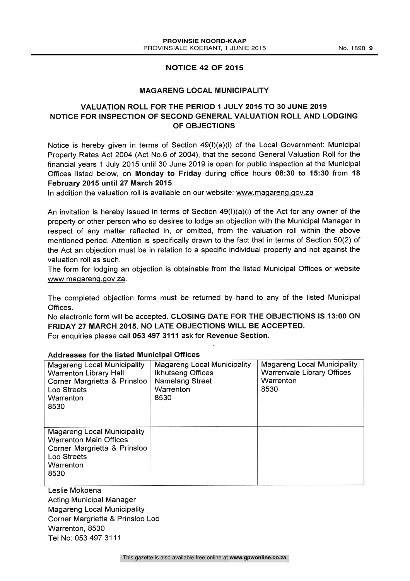#### **NOTICE 42 OF 2015**

#### MAGARENG LOCAL MUNICIPALITY

#### VALUATION ROLL FOR THE PERIOD 1 JULY 2015 TO 30 JUNE 2019 NOTICE FOR INSPECTION OF SECOND GENERAL VALUATION ROLL AND LODGING OF OBJECTIONS

Notice is hereby given in terms of Section  $49(1)(a)(i)$  of the Local Government: Municipal Property Rates Act 2004 (Act No.6 of 2004), that the second General Valuation Roll for the financial years 1 July 2015 until 30 June 2019 is open for public inspection at the Municipal Offices listed below, on Monday to Friday during office hours 08:30 to 15:30 from 18 February 2015 until 27 March 2015.

In addition the valuation roll is available on our website: www.magareng.gov.za

An invitation is hereby issued in terms of Section  $49(1)(a)(i)$  of the Act for any owner of the property or other person who so desires to lodge an objection with the Municipal Manager in respect of any matter reflected in, or omitted, from the valuation roll within the above mentioned period. Attention is specifically drawn to the fact that in terms of Section 50(2) of the Act an objection must be in relation to a specific individual property and not against the valuation roll as such.

The form for lodging an objection is obtainable from the listed Municipal Offices or website www.magareng.gov.za.

The completed objection forms must be returned by hand to any of the listed Municipal Offices.

No electronic form will be accepted. CLOSING DATE FOR THE OBJECTIONS IS 13:00 ON FRIDAY 27 MARCH 2015. NO LATE OBJECTIONS WILL BE ACCEPTED. For enquiries please call 053 497 3111 ask for Revenue Section.

| <b>Magareng Local Municipality</b><br><b>Warrenton Library Hall</b><br>Corner Margrietta & Prinsloo<br>Loo Streets<br>Warrenton<br>8530 | <b>Magareng Local Municipality</b><br><b>Ikhutseng Offices</b><br><b>Namelang Street</b><br>Warrenton<br>8530 | Magareng Local Municipality<br><b>Warrenvale Library Offices</b><br>Warrenton<br>8530 |
|-----------------------------------------------------------------------------------------------------------------------------------------|---------------------------------------------------------------------------------------------------------------|---------------------------------------------------------------------------------------|
| <b>Magareng Local Municipality</b><br><b>Warrenton Main Offices</b><br>Corner Margrietta & Prinsloo<br>Loo Streets<br>Warrenton<br>8530 |                                                                                                               |                                                                                       |

#### Addresses for the listed Municipal Offices

Leslie Mokoena Acting Municipal Manager Magareng Local Municipality Corner Margrietta & Prinsloo Loo Warrenton, 8530 Tel No: 053 497 3111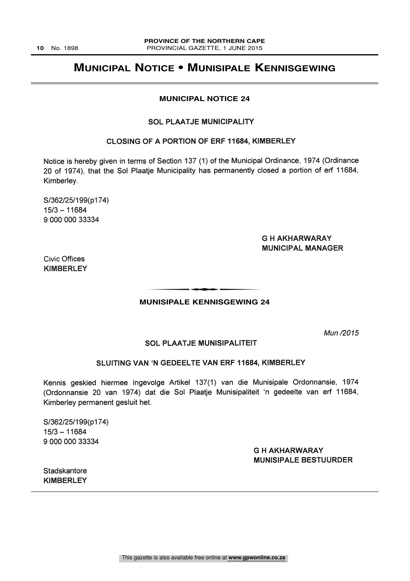### **MUNICIPAL NOTICE • MUNISIPALE KENNISGEWING**

#### **MUNICIPAL NOTICE 24**

#### SOL PLAATJE MUNICIPALITY

#### CLOSING OF A PORTION OF ERF 11684, KIMBERLEY

Notice is hereby given in terms of Section 137 (1) of the Municipal Ordinance, 1974 (Ordinance 20 of 1974), that the Sol Plaatje Municipality has permanently closed a portion of erf 11684, Kimberley.

S/362/25/199(p174)  $15/3 - 11684$ 9 000 000 33334

#### G H AKHARWARAY MUNICIPAL MANAGER

Civic Offices KIMBERLEY

# **MUNISIPALE KENNISGEWING 24** THEIRAL E KENNIGGEWING

Mun /2015

#### SOL PLAATJE MUNISIPALITEIT

#### SLUITING VAN 'N GEDEELTE VAN ERF 11684, KIMBERLEY

Kennis geskied hiermee ingevolge Artikel 137(1) van die Munisipale Ordonnansie, 1974 (Ordonnansie 20 van 1974) dat die Sol Plaatje Munisipaliteit 'n gedeelte van erf 11684, Kimberley permanent gesluit het.

5/362/25/199(p174)  $15/3 - 11684$ 9 000 000 33334

#### G H AKHARWARAY MUNISIPALE BESTUURDER

**Stadskantore** KIMBERLEY